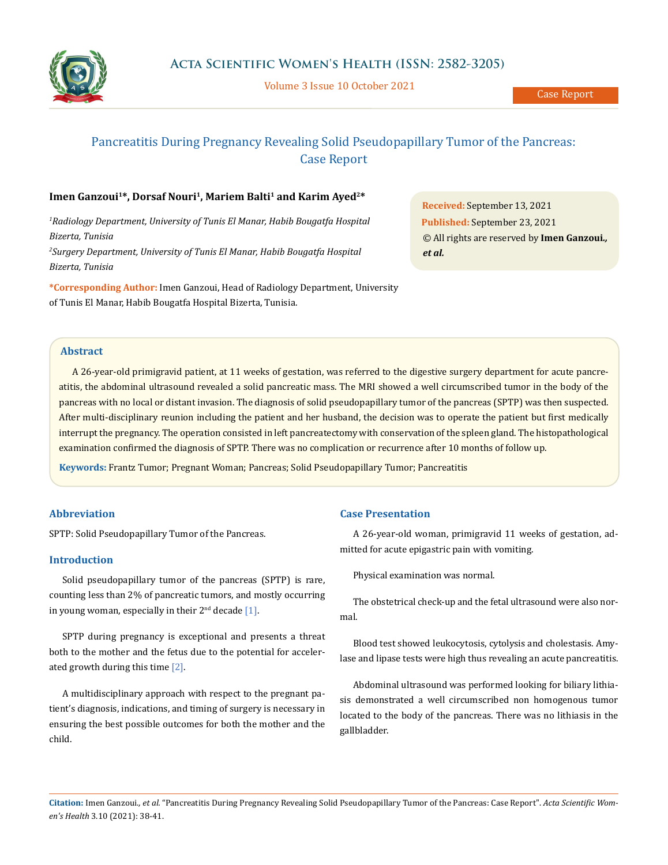

Volume 3 Issue 10 October 2021

# Pancreatitis During Pregnancy Revealing Solid Pseudopapillary Tumor of the Pancreas: Case Report

# Imen Ganzoui<sup>1\*</sup>, Dorsaf Nouri<sup>1</sup>, Mariem Balti<sup>1</sup> and Karim Ayed<sup>2\*</sup>

<sup>1</sup> Radiology Department, University of Tunis El Manar, Habib Bougatfa Hospital *Bizerta, Tunisia 2 Surgery Department, University of Tunis El Manar, Habib Bougatfa Hospital Bizerta, Tunisia*

**\*Corresponding Author:** Imen Ganzoui, Head of Radiology Department, University of Tunis El Manar, Habib Bougatfa Hospital Bizerta, Tunisia.

**Received:** September 13, 2021 **Published:** September 23, 2021 © All rights are reserved by **Imen Ganzoui***., et al.*

## **Abstract**

A 26-year-old primigravid patient, at 11 weeks of gestation, was referred to the digestive surgery department for acute pancreatitis, the abdominal ultrasound revealed a solid pancreatic mass. The MRI showed a well circumscribed tumor in the body of the pancreas with no local or distant invasion. The diagnosis of solid pseudopapillary tumor of the pancreas (SPTP) was then suspected. After multi-disciplinary reunion including the patient and her husband, the decision was to operate the patient but first medically interrupt the pregnancy. The operation consisted in left pancreatectomy with conservation of the spleen gland. The histopathological examination confirmed the diagnosis of SPTP. There was no complication or recurrence after 10 months of follow up.

**Keywords:** Frantz Tumor; Pregnant Woman; Pancreas; Solid Pseudopapillary Tumor; Pancreatitis

# **Abbreviation**

SPTP: Solid Pseudopapillary Tumor of the Pancreas.

## **Introduction**

Solid pseudopapillary tumor of the pancreas (SPTP) is rare, counting less than 2% of pancreatic tumors, and mostly occurring in young woman, especially in their  $2<sup>nd</sup>$  decade [1].

SPTP during pregnancy is exceptional and presents a threat both to the mother and the fetus due to the potential for accelerated growth during this time [2].

A multidisciplinary approach with respect to the pregnant patient's diagnosis, indications, and timing of surgery is necessary in ensuring the best possible outcomes for both the mother and the child.

#### **Case Presentation**

A 26-year-old woman, primigravid 11 weeks of gestation, admitted for acute epigastric pain with vomiting.

Physical examination was normal.

The obstetrical check-up and the fetal ultrasound were also normal.

Blood test showed leukocytosis, cytolysis and cholestasis. Amylase and lipase tests were high thus revealing an acute pancreatitis.

Abdominal ultrasound was performed looking for biliary lithiasis demonstrated a well circumscribed non homogenous tumor located to the body of the pancreas. There was no lithiasis in the gallbladder.

**Citation:** Imen Ganzoui*., et al.* "Pancreatitis During Pregnancy Revealing Solid Pseudopapillary Tumor of the Pancreas: Case Report". *Acta Scientific Women's Health* 3.10 (2021): 38-41.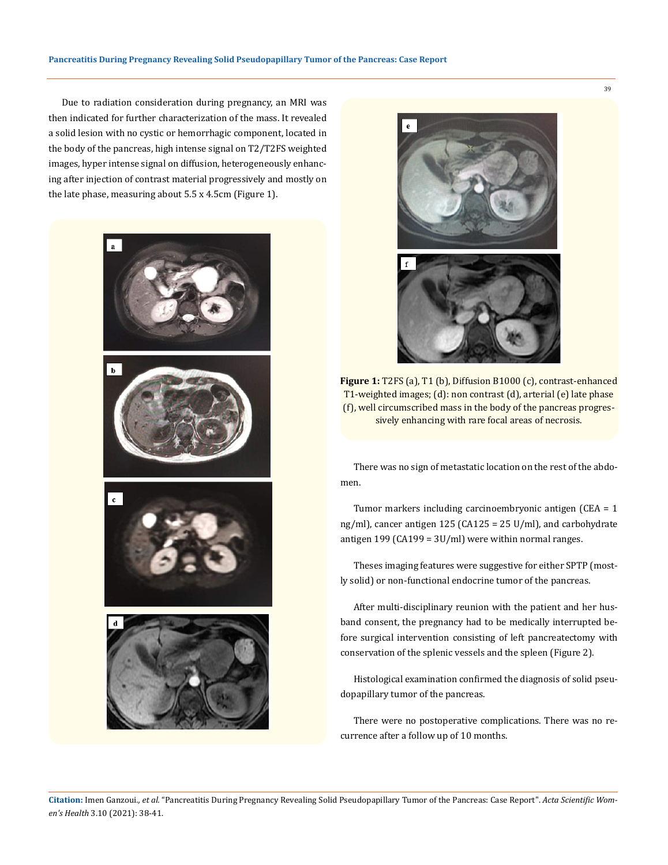Due to radiation consideration during pregnancy, an MRI was then indicated for further characterization of the mass. It revealed a solid lesion with no cystic or hemorrhagic component, located in the body of the pancreas, high intense signal on T2/T2FS weighted images, hyper intense signal on diffusion, heterogeneously enhancing after injection of contrast material progressively and mostly on the late phase, measuring about 5.5 x 4.5cm (Figure 1).





**Figure 1:** T2FS (a), T1 (b), Diffusion B1000 (c), contrast-enhanced T1-weighted images; (d): non contrast (d), arterial (e) late phase (f), well circumscribed mass in the body of the pancreas progressively enhancing with rare focal areas of necrosis.

There was no sign of metastatic location on the rest of the abdomen.

Tumor markers including carcinoembryonic antigen (CEA = 1 ng/ml), cancer antigen 125 (CA125 = 25 U/ml), and carbohydrate antigen 199 (CA199 =  $3U/ml$ ) were within normal ranges.

Theses imaging features were suggestive for either SPTP (mostly solid) or non-functional endocrine tumor of the pancreas.

After multi-disciplinary reunion with the patient and her husband consent, the pregnancy had to be medically interrupted before surgical intervention consisting of left pancreatectomy with conservation of the splenic vessels and the spleen (Figure 2).

Histological examination confirmed the diagnosis of solid pseudopapillary tumor of the pancreas.

There were no postoperative complications. There was no recurrence after a follow up of 10 months.

39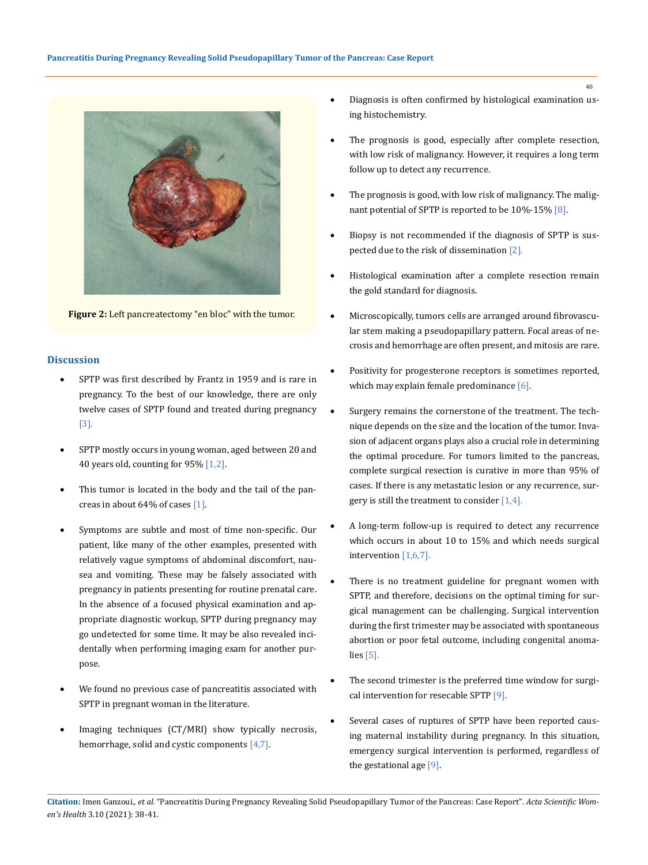

**Figure 2:** Left pancreatectomy "en bloc" with the tumor.

## **Discussion**

- SPTP was first described by Frantz in 1959 and is rare in pregnancy. To the best of our knowledge, there are only twelve cases of SPTP found and treated during pregnancy [3].
- SPTP mostly occurs in young woman, aged between 20 and 40 years old, counting for 95% [1,2].
- This tumor is located in the body and the tail of the pancreas in about 64% of cases [1].
- Symptoms are subtle and most of time non-specific. Our patient, like many of the other examples, presented with relatively vague symptoms of abdominal discomfort, nausea and vomiting. These may be falsely associated with pregnancy in patients presenting for routine prenatal care. In the absence of a focused physical examination and appropriate diagnostic workup, SPTP during pregnancy may go undetected for some time. It may be also revealed incidentally when performing imaging exam for another purpose.
- We found no previous case of pancreatitis associated with SPTP in pregnant woman in the literature.
- Imaging techniques (CT/MRI) show typically necrosis, hemorrhage, solid and cystic components [4,7].
- Diagnosis is often confirmed by histological examination using histochemistry.
- The prognosis is good, especially after complete resection, with low risk of malignancy. However, it requires a long term follow up to detect any recurrence.
- The prognosis is good, with low risk of malignancy. The malignant potential of SPTP is reported to be 10%-15% [8].
- Biopsy is not recommended if the diagnosis of SPTP is suspected due to the risk of dissemination [2].
- Histological examination after a complete resection remain the gold standard for diagnosis.
- Microscopically, tumors cells are arranged around fibrovascular stem making a pseudopapillary pattern. Focal areas of necrosis and hemorrhage are often present, and mitosis are rare.
- Positivity for progesterone receptors is sometimes reported, which may explain female predominance [6].
- • Surgery remains the cornerstone of the treatment. The technique depends on the size and the location of the tumor. Invasion of adjacent organs plays also a crucial role in determining the optimal procedure. For tumors limited to the pancreas, complete surgical resection is curative in more than 95% of cases. If there is any metastatic lesion or any recurrence, surgery is still the treatment to consider  $[1,4]$ .
- A long-term follow-up is required to detect any recurrence which occurs in about 10 to 15% and which needs surgical intervention [1,6,7].
- There is no treatment guideline for pregnant women with SPTP, and therefore, decisions on the optimal timing for surgical management can be challenging. Surgical intervention during the first trimester may be associated with spontaneous abortion or poor fetal outcome, including congenital anomalies [5].
- The second trimester is the preferred time window for surgical intervention for resecable SPTP [9].
- Several cases of ruptures of SPTP have been reported causing maternal instability during pregnancy. In this situation, emergency surgical intervention is performed, regardless of the gestational age [9].

40